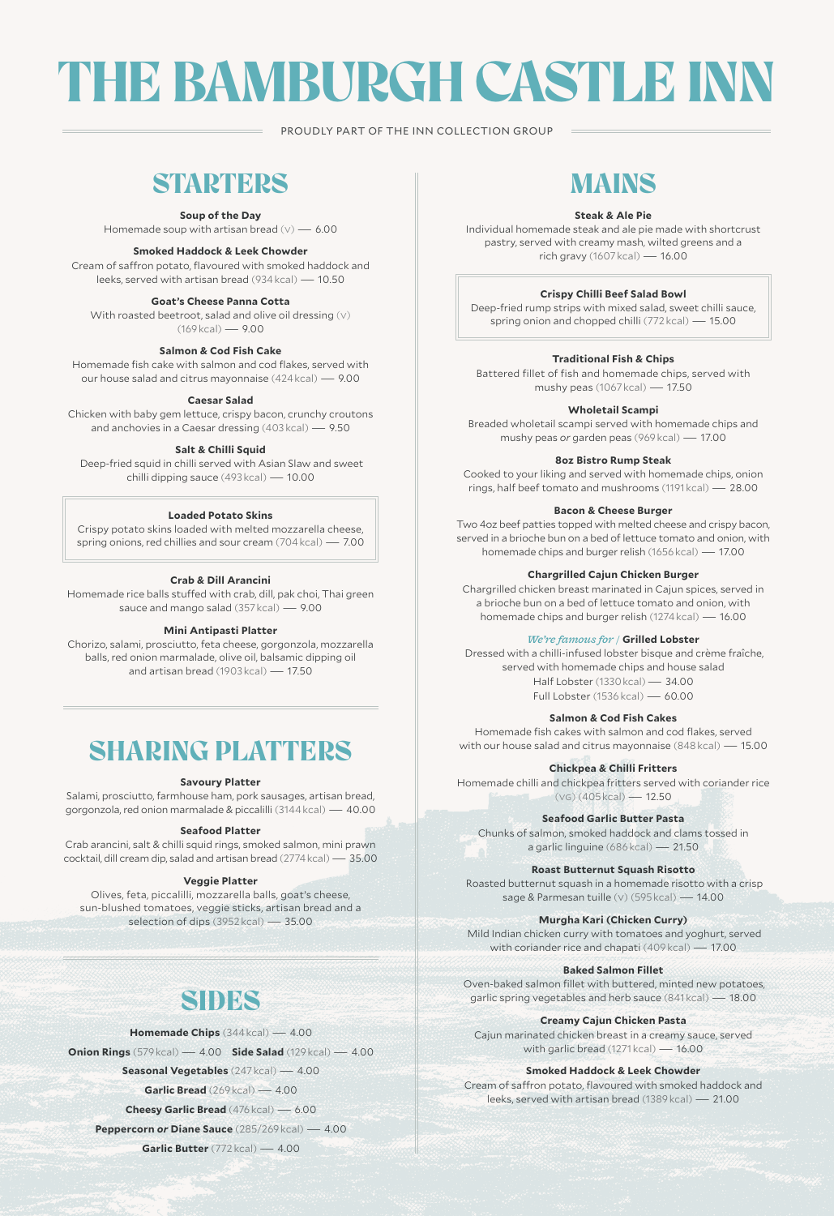# THE BAMBURGH CASTLE INN

PROUDLY PART OF THE INN COLLECTION GROUP

# **STARTERS**

**Soup of the Day** 

Homemade soup with artisan bread  $(v) = 6.00$ 

### **Smoked Haddock & Leek Chowder**

Cream of saffron potato, flavoured with smoked haddock and leeks, served with artisan bread (934 kcal) — 10.50

# **Goat's Cheese Panna Cotta**

With roasted beetroot, salad and olive oil dressing (y) (169 kcal) — 9.00

### **Salmon & Cod Fish Cake**

Homemade fish cake with salmon and cod flakes, served with our house salad and citrus mayonnaise (424 kcal) — 9.00

### **Caesar Salad**

Chicken with baby gem lettuce, crispy bacon, crunchy croutons and anchovies in a Caesar dressing (403 kcal) — 9.50

# **Salt & Chilli Squid**

 Deep-fried squid in chilli served with Asian Slaw and sweet chilli dipping sauce (493 kcal) — 10.00

### **Loaded Potato Skins**

Crispy potato skins loaded with melted mozzarella cheese, spring onions, red chillies and sour cream (704 kcal) — 7.00

### **Crab & Dill Arancini**

Homemade rice balls stuffed with crab, dill, pak choi, Thai green sauce and mango salad (357 kcal) — 9.00

# **Mini Antipasti Platter**

Chorizo, salami, prosciutto, feta cheese, gorgonzola, mozzarella balls, red onion marmalade, olive oil, balsamic dipping oil and artisan bread (1903 kcal) — 17.50

# SHARING PLATTERS

#### **Savoury Platter**

Salami, prosciutto, farmhouse ham, pork sausages, artisan bread, gorgonzola, red onion marmalade & piccalilli (3144 kcal) — 40.00

# **Seafood Platter**

Crab arancini, salt & chilli squid rings, smoked salmon, mini prawn cocktail, dill cream dip, salad and artisan bread (2774 kcal) — 35.00

#### **Veggie Platter**

Olives, feta, piccalilli, mozzarella balls, goat's cheese, sun-blushed tomatoes, veggie sticks, artisan bread and a selection of dips (3952 kcal) — 35.00

# SIDES

**Homemade Chips** (344 kcal) — 4.00

**Onion Rings** (579 kcal) — 4.00 **Side Salad** (129 kcal) — 4.00

**Seasonal Vegetables** (247 kcal) — 4.00

**Garlic Bread** (269 kcal) — 4.00

**Cheesy Garlic Bread** (476 kcal) — 6.00

**Peppercorn** *or* **Diane Sauce** (285/269 kcal) — 4.00

**Garlic Butter** (772 kcal) — 4.00

# MAINS

#### **Steak & Ale Pie**

Individual homemade steak and ale pie made with shortcrust pastry, served with creamy mash, wilted greens and a rich gravy (1607 kcal) — 16.00

### **Crispy Chilli Beef Salad Bowl**

Deep-fried rump strips with mixed salad, sweet chilli sauce, spring onion and chopped chilli (772 kcal) — 15.00

#### **Traditional Fish & Chips**

Battered fillet of fish and homemade chips, served with mushy peas (1067 kcal) — 17.50

**Wholetail Scampi**

Breaded wholetail scampi served with homemade chips and mushy peas *or* garden peas (969 kcal) — 17.00

**8oz Bistro Rump Steak**

Cooked to your liking and served with homemade chips, onion rings, half beef tomato and mushrooms (1191 kcal) — 28.00

#### **Bacon & Cheese Burger**

Two 4oz beef patties topped with melted cheese and crispy bacon, served in a brioche bun on a bed of lettuce tomato and onion, with homemade chips and burger relish (1656 kcal) — 17.00

**Chargrilled Cajun Chicken Burger**

Chargrilled chicken breast marinated in Cajun spices, served in a brioche bun on a bed of lettuce tomato and onion, with homemade chips and burger relish (1274 kcal) — 16.00

# *We're famous for /* **Grilled Lobster**

 Dressed with a chilli-infused lobster bisque and crème fraîche, served with homemade chips and house salad Half Lobster (1330 kcal) — 34.00 Full Lobster (1536 kcal) — 60.00

### **Salmon & Cod Fish Cakes**

Homemade fish cakes with salmon and cod flakes, served with our house salad and citrus mayonnaise (848 kcal) — 15.00

# **Chickpea & Chilli Fritters**

Homemade chilli and chickpea fritters served with coriander rice  $(vG)(405$ *kcal* $)$  — 12.50

# **Seafood Garlic Butter Pasta**

Chunks of salmon, smoked haddock and clams tossed in a garlic linguine (686 kcal) — 21.50

**Roast Butternut Squash Risotto**

 Roasted butternut squash in a homemade risotto with a crisp sage & Parmesan tuille (v) (595 kcal) — 14.00

**Murgha Kari (Chicken Curry)**

 Mild Indian chicken curry with tomatoes and yoghurt, served with coriander rice and chapati (409 kcal) — 17.00

### **Baked Salmon Fillet**

 Oven-baked salmon fillet with buttered, minted new potatoes, garlic spring vegetables and herb sauce (841 kcal) — 18.00

**Creamy Cajun Chicken Pasta** 

Cajun marinated chicken breast in a creamy sauce, served with garlic bread (1271 kcal) — 16.00

#### **Smoked Haddock & Leek Chowder**

Cream of saffron potato, flavoured with smoked haddock and leeks, served with artisan bread (1389 kcal) — 21.00